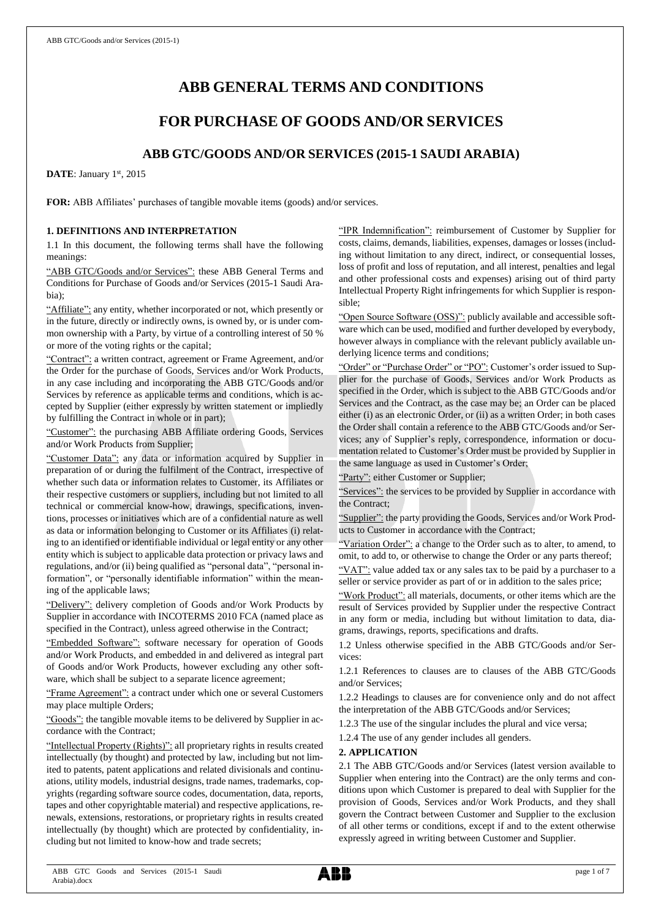# **ABB GENERAL TERMS AND CONDITIONS**

# **FOR PURCHASE OF GOODS AND/OR SERVICES**

# **ABB GTC/GOODS AND/OR SERVICES (2015-1 SAUDI ARABIA)**

DATE: January 1st, 2015

**FOR:** ABB Affiliates' purchases of tangible movable items (goods) and/or services.

# **1. DEFINITIONS AND INTERPRETATION**

1.1 In this document, the following terms shall have the following meanings:

"ABB GTC/Goods and/or Services": these ABB General Terms and Conditions for Purchase of Goods and/or Services (2015-1 Saudi Arabia);

"Affiliate": any entity, whether incorporated or not, which presently or in the future, directly or indirectly owns, is owned by, or is under common ownership with a Party, by virtue of a controlling interest of 50 % or more of the voting rights or the capital;

"Contract": a written contract, agreement or Frame Agreement, and/or the Order for the purchase of Goods, Services and/or Work Products, in any case including and incorporating the ABB GTC/Goods and/or Services by reference as applicable terms and conditions, which is accepted by Supplier (either expressly by written statement or impliedly by fulfilling the Contract in whole or in part);

"Customer": the purchasing ABB Affiliate ordering Goods, Services and/or Work Products from Supplier;

"Customer Data": any data or information acquired by Supplier in preparation of or during the fulfilment of the Contract, irrespective of whether such data or information relates to Customer, its Affiliates or their respective customers or suppliers, including but not limited to all technical or commercial know-how, drawings, specifications, inventions, processes or initiatives which are of a confidential nature as well as data or information belonging to Customer or its Affiliates (i) relating to an identified or identifiable individual or legal entity or any other entity which is subject to applicable data protection or privacy laws and regulations, and/or (ii) being qualified as "personal data", "personal information", or "personally identifiable information" within the meaning of the applicable laws;

"Delivery": delivery completion of Goods and/or Work Products by Supplier in accordance with INCOTERMS 2010 FCA (named place as specified in the Contract), unless agreed otherwise in the Contract;

"Embedded Software": software necessary for operation of Goods and/or Work Products, and embedded in and delivered as integral part of Goods and/or Work Products, however excluding any other software, which shall be subject to a separate licence agreement;

"Frame Agreement": a contract under which one or several Customers may place multiple Orders;

"Goods": the tangible movable items to be delivered by Supplier in accordance with the Contract;

"Intellectual Property (Rights)": all proprietary rights in results created intellectually (by thought) and protected by law, including but not limited to patents, patent applications and related divisionals and continuations, utility models, industrial designs, trade names, trademarks, copyrights (regarding software source codes, documentation, data, reports, tapes and other copyrightable material) and respective applications, renewals, extensions, restorations, or proprietary rights in results created intellectually (by thought) which are protected by confidentiality, including but not limited to know-how and trade secrets;

"IPR Indemnification": reimbursement of Customer by Supplier for costs, claims, demands, liabilities, expenses, damages or losses (including without limitation to any direct, indirect, or consequential losses, loss of profit and loss of reputation, and all interest, penalties and legal and other professional costs and expenses) arising out of third party Intellectual Property Right infringements for which Supplier is responsible;

"Open Source Software (OSS)": publicly available and accessible software which can be used, modified and further developed by everybody, however always in compliance with the relevant publicly available underlying licence terms and conditions;

"Order" or "Purchase Order" or "PO": Customer's order issued to Supplier for the purchase of Goods, Services and/or Work Products as specified in the Order, which is subject to the ABB GTC/Goods and/or Services and the Contract, as the case may be; an Order can be placed either (i) as an electronic Order, or (ii) as a written Order; in both cases the Order shall contain a reference to the ABB GTC/Goods and/or Services; any of Supplier's reply, correspondence, information or documentation related to Customer's Order must be provided by Supplier in the same language as used in Customer's Order;

"Party": either Customer or Supplier;

"Services": the services to be provided by Supplier in accordance with the Contract;

"Supplier": the party providing the Goods, Services and/or Work Products to Customer in accordance with the Contract;

"Variation Order": a change to the Order such as to alter, to amend, to omit, to add to, or otherwise to change the Order or any parts thereof;

"VAT": value added tax or any sales tax to be paid by a purchaser to a seller or service provider as part of or in addition to the sales price;

"Work Product": all materials, documents, or other items which are the result of Services provided by Supplier under the respective Contract in any form or media, including but without limitation to data, diagrams, drawings, reports, specifications and drafts.

1.2 Unless otherwise specified in the ABB GTC/Goods and/or Services:

1.2.1 References to clauses are to clauses of the ABB GTC/Goods and/or Services;

1.2.2 Headings to clauses are for convenience only and do not affect the interpretation of the ABB GTC/Goods and/or Services;

1.2.3 The use of the singular includes the plural and vice versa;

1.2.4 The use of any gender includes all genders.

# **2. APPLICATION**

2.1 The ABB GTC/Goods and/or Services (latest version available to Supplier when entering into the Contract) are the only terms and conditions upon which Customer is prepared to deal with Supplier for the provision of Goods, Services and/or Work Products, and they shall govern the Contract between Customer and Supplier to the exclusion of all other terms or conditions, except if and to the extent otherwise expressly agreed in writing between Customer and Supplier.

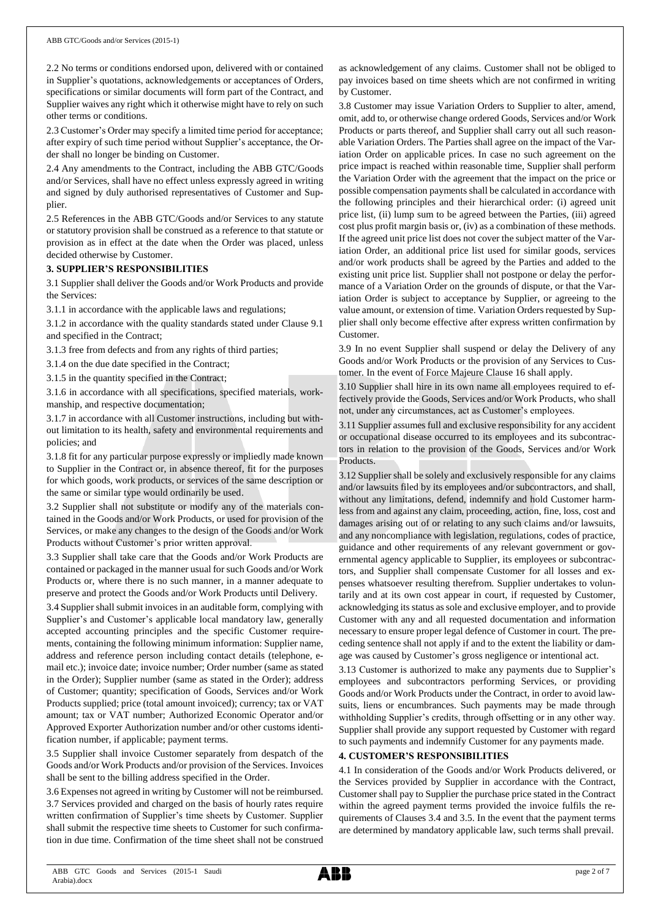2.2 No terms or conditions endorsed upon, delivered with or contained in Supplier's quotations, acknowledgements or acceptances of Orders, specifications or similar documents will form part of the Contract, and Supplier waives any right which it otherwise might have to rely on such other terms or conditions.

2.3 Customer's Order may specify a limited time period for acceptance; after expiry of such time period without Supplier's acceptance, the Order shall no longer be binding on Customer.

2.4 Any amendments to the Contract, including the ABB GTC/Goods and/or Services, shall have no effect unless expressly agreed in writing and signed by duly authorised representatives of Customer and Supplier.

2.5 References in the ABB GTC/Goods and/or Services to any statute or statutory provision shall be construed as a reference to that statute or provision as in effect at the date when the Order was placed, unless decided otherwise by Customer.

### **3. SUPPLIER'S RESPONSIBILITIES**

3.1 Supplier shall deliver the Goods and/or Work Products and provide the Services:

3.1.1 in accordance with the applicable laws and regulations;

3.1.2 in accordance with the quality standards stated under Clause 9.1 and specified in the Contract;

3.1.3 free from defects and from any rights of third parties;

3.1.4 on the due date specified in the Contract;

3.1.5 in the quantity specified in the Contract;

3.1.6 in accordance with all specifications, specified materials, workmanship, and respective documentation;

3.1.7 in accordance with all Customer instructions, including but without limitation to its health, safety and environmental requirements and policies; and

3.1.8 fit for any particular purpose expressly or impliedly made known to Supplier in the Contract or, in absence thereof, fit for the purposes for which goods, work products, or services of the same description or the same or similar type would ordinarily be used.

3.2 Supplier shall not substitute or modify any of the materials contained in the Goods and/or Work Products, or used for provision of the Services, or make any changes to the design of the Goods and/or Work Products without Customer's prior written approval.

3.3 Supplier shall take care that the Goods and/or Work Products are contained or packaged in the manner usual for such Goods and/or Work Products or, where there is no such manner, in a manner adequate to preserve and protect the Goods and/or Work Products until Delivery.

3.4 Supplier shall submit invoices in an auditable form, complying with Supplier's and Customer's applicable local mandatory law, generally accepted accounting principles and the specific Customer requirements, containing the following minimum information: Supplier name, address and reference person including contact details (telephone, email etc.); invoice date; invoice number; Order number (same as stated in the Order); Supplier number (same as stated in the Order); address of Customer; quantity; specification of Goods, Services and/or Work Products supplied; price (total amount invoiced); currency; tax or VAT amount; tax or VAT number; Authorized Economic Operator and/or Approved Exporter Authorization number and/or other customs identification number, if applicable; payment terms.

3.5 Supplier shall invoice Customer separately from despatch of the Goods and/or Work Products and/or provision of the Services. Invoices shall be sent to the billing address specified in the Order.

3.6 Expenses not agreed in writing by Customer will not be reimbursed. 3.7 Services provided and charged on the basis of hourly rates require written confirmation of Supplier's time sheets by Customer. Supplier shall submit the respective time sheets to Customer for such confirmation in due time. Confirmation of the time sheet shall not be construed as acknowledgement of any claims. Customer shall not be obliged to pay invoices based on time sheets which are not confirmed in writing by Customer.

3.8 Customer may issue Variation Orders to Supplier to alter, amend, omit, add to, or otherwise change ordered Goods, Services and/or Work Products or parts thereof, and Supplier shall carry out all such reasonable Variation Orders. The Parties shall agree on the impact of the Variation Order on applicable prices. In case no such agreement on the price impact is reached within reasonable time, Supplier shall perform the Variation Order with the agreement that the impact on the price or possible compensation payments shall be calculated in accordance with the following principles and their hierarchical order: (i) agreed unit price list, (ii) lump sum to be agreed between the Parties, (iii) agreed cost plus profit margin basis or, (iv) as a combination of these methods. If the agreed unit price list does not cover the subject matter of the Variation Order, an additional price list used for similar goods, services and/or work products shall be agreed by the Parties and added to the existing unit price list. Supplier shall not postpone or delay the performance of a Variation Order on the grounds of dispute, or that the Variation Order is subject to acceptance by Supplier, or agreeing to the value amount, or extension of time. Variation Orders requested by Supplier shall only become effective after express written confirmation by Customer.

3.9 In no event Supplier shall suspend or delay the Delivery of any Goods and/or Work Products or the provision of any Services to Customer. In the event of Force Majeure Clause 16 shall apply.

3.10 Supplier shall hire in its own name all employees required to effectively provide the Goods, Services and/or Work Products, who shall not, under any circumstances, act as Customer's employees.

3.11 Supplier assumes full and exclusive responsibility for any accident or occupational disease occurred to its employees and its subcontractors in relation to the provision of the Goods, Services and/or Work Products.

3.12 Supplier shall be solely and exclusively responsible for any claims and/or lawsuits filed by its employees and/or subcontractors, and shall, without any limitations, defend, indemnify and hold Customer harmless from and against any claim, proceeding, action, fine, loss, cost and damages arising out of or relating to any such claims and/or lawsuits, and any noncompliance with legislation, regulations, codes of practice, guidance and other requirements of any relevant government or governmental agency applicable to Supplier, its employees or subcontractors, and Supplier shall compensate Customer for all losses and expenses whatsoever resulting therefrom. Supplier undertakes to voluntarily and at its own cost appear in court, if requested by Customer, acknowledging its status as sole and exclusive employer, and to provide Customer with any and all requested documentation and information necessary to ensure proper legal defence of Customer in court. The preceding sentence shall not apply if and to the extent the liability or damage was caused by Customer's gross negligence or intentional act.

3.13 Customer is authorized to make any payments due to Supplier's employees and subcontractors performing Services, or providing Goods and/or Work Products under the Contract, in order to avoid lawsuits, liens or encumbrances. Such payments may be made through withholding Supplier's credits, through offsetting or in any other way. Supplier shall provide any support requested by Customer with regard to such payments and indemnify Customer for any payments made.

# **4. CUSTOMER'S RESPONSIBILITIES**

4.1 In consideration of the Goods and/or Work Products delivered, or the Services provided by Supplier in accordance with the Contract, Customer shall pay to Supplier the purchase price stated in the Contract within the agreed payment terms provided the invoice fulfils the requirements of Clauses 3.4 and 3.5. In the event that the payment terms are determined by mandatory applicable law, such terms shall prevail.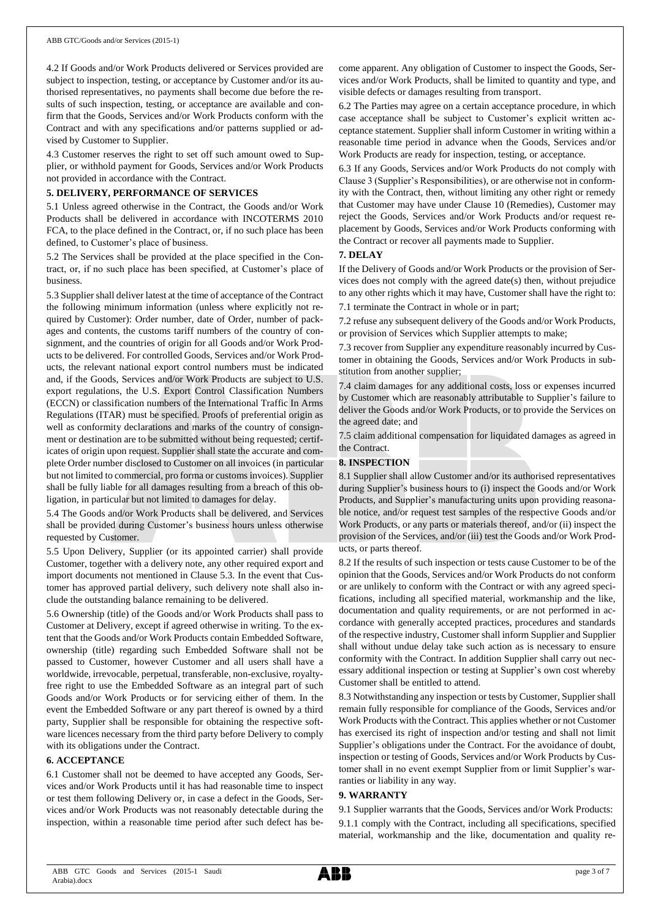4.2 If Goods and/or Work Products delivered or Services provided are subject to inspection, testing, or acceptance by Customer and/or its authorised representatives, no payments shall become due before the results of such inspection, testing, or acceptance are available and confirm that the Goods, Services and/or Work Products conform with the Contract and with any specifications and/or patterns supplied or advised by Customer to Supplier.

4.3 Customer reserves the right to set off such amount owed to Supplier, or withhold payment for Goods, Services and/or Work Products not provided in accordance with the Contract.

### **5. DELIVERY, PERFORMANCE OF SERVICES**

5.1 Unless agreed otherwise in the Contract, the Goods and/or Work Products shall be delivered in accordance with INCOTERMS 2010 FCA, to the place defined in the Contract, or, if no such place has been defined, to Customer's place of business.

5.2 The Services shall be provided at the place specified in the Contract, or, if no such place has been specified, at Customer's place of business.

5.3 Supplier shall deliver latest at the time of acceptance of the Contract the following minimum information (unless where explicitly not required by Customer): Order number, date of Order, number of packages and contents, the customs tariff numbers of the country of consignment, and the countries of origin for all Goods and/or Work Products to be delivered. For controlled Goods, Services and/or Work Products, the relevant national export control numbers must be indicated and, if the Goods, Services and/or Work Products are subject to U.S. export regulations, the U.S. Export Control Classification Numbers (ECCN) or classification numbers of the International Traffic In Arms Regulations (ITAR) must be specified. Proofs of preferential origin as well as conformity declarations and marks of the country of consignment or destination are to be submitted without being requested; certificates of origin upon request. Supplier shall state the accurate and complete Order number disclosed to Customer on all invoices (in particular but not limited to commercial, pro forma or customs invoices). Supplier shall be fully liable for all damages resulting from a breach of this obligation, in particular but not limited to damages for delay.

5.4 The Goods and/or Work Products shall be delivered, and Services shall be provided during Customer's business hours unless otherwise requested by Customer.

5.5 Upon Delivery, Supplier (or its appointed carrier) shall provide Customer, together with a delivery note, any other required export and import documents not mentioned in Clause 5.3. In the event that Customer has approved partial delivery, such delivery note shall also include the outstanding balance remaining to be delivered.

5.6 Ownership (title) of the Goods and/or Work Products shall pass to Customer at Delivery, except if agreed otherwise in writing. To the extent that the Goods and/or Work Products contain Embedded Software, ownership (title) regarding such Embedded Software shall not be passed to Customer, however Customer and all users shall have a worldwide, irrevocable, perpetual, transferable, non-exclusive, royaltyfree right to use the Embedded Software as an integral part of such Goods and/or Work Products or for servicing either of them. In the event the Embedded Software or any part thereof is owned by a third party, Supplier shall be responsible for obtaining the respective software licences necessary from the third party before Delivery to comply with its obligations under the Contract.

### **6. ACCEPTANCE**

6.1 Customer shall not be deemed to have accepted any Goods, Services and/or Work Products until it has had reasonable time to inspect or test them following Delivery or, in case a defect in the Goods, Services and/or Work Products was not reasonably detectable during the inspection, within a reasonable time period after such defect has become apparent. Any obligation of Customer to inspect the Goods, Services and/or Work Products, shall be limited to quantity and type, and visible defects or damages resulting from transport.

6.2 The Parties may agree on a certain acceptance procedure, in which case acceptance shall be subject to Customer's explicit written acceptance statement. Supplier shall inform Customer in writing within a reasonable time period in advance when the Goods, Services and/or Work Products are ready for inspection, testing, or acceptance.

6.3 If any Goods, Services and/or Work Products do not comply with Clause 3 (Supplier's Responsibilities), or are otherwise not in conformity with the Contract, then, without limiting any other right or remedy that Customer may have under Clause 10 (Remedies), Customer may reject the Goods, Services and/or Work Products and/or request replacement by Goods, Services and/or Work Products conforming with the Contract or recover all payments made to Supplier.

### **7. DELAY**

If the Delivery of Goods and/or Work Products or the provision of Services does not comply with the agreed date(s) then, without prejudice to any other rights which it may have, Customer shall have the right to: 7.1 terminate the Contract in whole or in part;

7.2 refuse any subsequent delivery of the Goods and/or Work Products, or provision of Services which Supplier attempts to make;

7.3 recover from Supplier any expenditure reasonably incurred by Customer in obtaining the Goods, Services and/or Work Products in substitution from another supplier;

7.4 claim damages for any additional costs, loss or expenses incurred by Customer which are reasonably attributable to Supplier's failure to deliver the Goods and/or Work Products, or to provide the Services on the agreed date; and

7.5 claim additional compensation for liquidated damages as agreed in the Contract.

# **8. INSPECTION**

8.1 Supplier shall allow Customer and/or its authorised representatives during Supplier's business hours to (i) inspect the Goods and/or Work Products, and Supplier's manufacturing units upon providing reasonable notice, and/or request test samples of the respective Goods and/or Work Products, or any parts or materials thereof, and/or (ii) inspect the provision of the Services, and/or (iii) test the Goods and/or Work Products, or parts thereof.

8.2 If the results of such inspection or tests cause Customer to be of the opinion that the Goods, Services and/or Work Products do not conform or are unlikely to conform with the Contract or with any agreed specifications, including all specified material, workmanship and the like, documentation and quality requirements, or are not performed in accordance with generally accepted practices, procedures and standards of the respective industry, Customer shall inform Supplier and Supplier shall without undue delay take such action as is necessary to ensure conformity with the Contract. In addition Supplier shall carry out necessary additional inspection or testing at Supplier's own cost whereby Customer shall be entitled to attend.

8.3 Notwithstanding any inspection or tests by Customer, Supplier shall remain fully responsible for compliance of the Goods, Services and/or Work Products with the Contract. This applies whether or not Customer has exercised its right of inspection and/or testing and shall not limit Supplier's obligations under the Contract. For the avoidance of doubt, inspection or testing of Goods, Services and/or Work Products by Customer shall in no event exempt Supplier from or limit Supplier's warranties or liability in any way.

### **9. WARRANTY**

9.1 Supplier warrants that the Goods, Services and/or Work Products: 9.1.1 comply with the Contract, including all specifications, specified material, workmanship and the like, documentation and quality re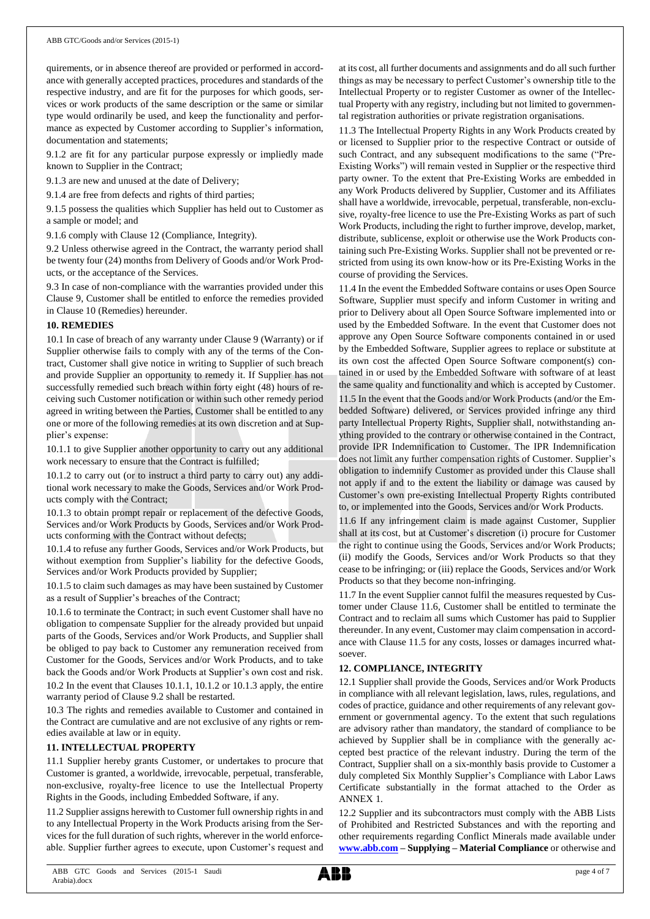quirements, or in absence thereof are provided or performed in accordance with generally accepted practices, procedures and standards of the respective industry, and are fit for the purposes for which goods, services or work products of the same description or the same or similar type would ordinarily be used, and keep the functionality and performance as expected by Customer according to Supplier's information, documentation and statements;

9.1.2 are fit for any particular purpose expressly or impliedly made known to Supplier in the Contract;

9.1.3 are new and unused at the date of Delivery;

9.1.4 are free from defects and rights of third parties;

9.1.5 possess the qualities which Supplier has held out to Customer as a sample or model; and

9.1.6 comply with Clause 12 (Compliance, Integrity).

9.2 Unless otherwise agreed in the Contract, the warranty period shall be twenty four (24) months from Delivery of Goods and/or Work Products, or the acceptance of the Services.

9.3 In case of non-compliance with the warranties provided under this Clause 9, Customer shall be entitled to enforce the remedies provided in Clause 10 (Remedies) hereunder.

### **10. REMEDIES**

10.1 In case of breach of any warranty under Clause 9 (Warranty) or if Supplier otherwise fails to comply with any of the terms of the Contract, Customer shall give notice in writing to Supplier of such breach and provide Supplier an opportunity to remedy it. If Supplier has not successfully remedied such breach within forty eight (48) hours of receiving such Customer notification or within such other remedy period agreed in writing between the Parties, Customer shall be entitled to any one or more of the following remedies at its own discretion and at Supplier's expense:

10.1.1 to give Supplier another opportunity to carry out any additional work necessary to ensure that the Contract is fulfilled;

10.1.2 to carry out (or to instruct a third party to carry out) any additional work necessary to make the Goods, Services and/or Work Products comply with the Contract;

10.1.3 to obtain prompt repair or replacement of the defective Goods, Services and/or Work Products by Goods, Services and/or Work Products conforming with the Contract without defects;

10.1.4 to refuse any further Goods, Services and/or Work Products, but without exemption from Supplier's liability for the defective Goods, Services and/or Work Products provided by Supplier;

10.1.5 to claim such damages as may have been sustained by Customer as a result of Supplier's breaches of the Contract;

10.1.6 to terminate the Contract; in such event Customer shall have no obligation to compensate Supplier for the already provided but unpaid parts of the Goods, Services and/or Work Products, and Supplier shall be obliged to pay back to Customer any remuneration received from Customer for the Goods, Services and/or Work Products, and to take back the Goods and/or Work Products at Supplier's own cost and risk. 10.2 In the event that Clauses 10.1.1, 10.1.2 or 10.1.3 apply, the entire warranty period of Clause 9.2 shall be restarted.

10.3 The rights and remedies available to Customer and contained in the Contract are cumulative and are not exclusive of any rights or remedies available at law or in equity.

# **11. INTELLECTUAL PROPERTY**

11.1 Supplier hereby grants Customer, or undertakes to procure that Customer is granted, a worldwide, irrevocable, perpetual, transferable, non-exclusive, royalty-free licence to use the Intellectual Property Rights in the Goods, including Embedded Software, if any.

11.2 Supplier assigns herewith to Customer full ownership rights in and to any Intellectual Property in the Work Products arising from the Services for the full duration of such rights, wherever in the world enforceable. Supplier further agrees to execute, upon Customer's request and at its cost, all further documents and assignments and do all such further things as may be necessary to perfect Customer's ownership title to the Intellectual Property or to register Customer as owner of the Intellectual Property with any registry, including but not limited to governmental registration authorities or private registration organisations.

11.3 The Intellectual Property Rights in any Work Products created by or licensed to Supplier prior to the respective Contract or outside of such Contract, and any subsequent modifications to the same ("Pre-Existing Works") will remain vested in Supplier or the respective third party owner. To the extent that Pre-Existing Works are embedded in any Work Products delivered by Supplier, Customer and its Affiliates shall have a worldwide, irrevocable, perpetual, transferable, non-exclusive, royalty-free licence to use the Pre-Existing Works as part of such Work Products, including the right to further improve, develop, market, distribute, sublicense, exploit or otherwise use the Work Products containing such Pre-Existing Works. Supplier shall not be prevented or restricted from using its own know-how or its Pre-Existing Works in the course of providing the Services.

11.4 In the event the Embedded Software contains or uses Open Source Software, Supplier must specify and inform Customer in writing and prior to Delivery about all Open Source Software implemented into or used by the Embedded Software. In the event that Customer does not approve any Open Source Software components contained in or used by the Embedded Software, Supplier agrees to replace or substitute at its own cost the affected Open Source Software component(s) contained in or used by the Embedded Software with software of at least the same quality and functionality and which is accepted by Customer.

11.5 In the event that the Goods and/or Work Products (and/or the Embedded Software) delivered, or Services provided infringe any third party Intellectual Property Rights, Supplier shall, notwithstanding anything provided to the contrary or otherwise contained in the Contract, provide IPR Indemnification to Customer. The IPR Indemnification does not limit any further compensation rights of Customer. Supplier's obligation to indemnify Customer as provided under this Clause shall not apply if and to the extent the liability or damage was caused by Customer's own pre-existing Intellectual Property Rights contributed to, or implemented into the Goods, Services and/or Work Products.

11.6 If any infringement claim is made against Customer, Supplier shall at its cost, but at Customer's discretion (i) procure for Customer the right to continue using the Goods, Services and/or Work Products; (ii) modify the Goods, Services and/or Work Products so that they cease to be infringing; or (iii) replace the Goods, Services and/or Work Products so that they become non-infringing.

11.7 In the event Supplier cannot fulfil the measures requested by Customer under Clause 11.6, Customer shall be entitled to terminate the Contract and to reclaim all sums which Customer has paid to Supplier thereunder. In any event, Customer may claim compensation in accordance with Clause 11.5 for any costs, losses or damages incurred whatsoever.

### **12. COMPLIANCE, INTEGRITY**

12.1 Supplier shall provide the Goods, Services and/or Work Products in compliance with all relevant legislation, laws, rules, regulations, and codes of practice, guidance and other requirements of any relevant government or governmental agency. To the extent that such regulations are advisory rather than mandatory, the standard of compliance to be achieved by Supplier shall be in compliance with the generally accepted best practice of the relevant industry. During the term of the Contract, Supplier shall on a six-monthly basis provide to Customer a duly completed Six Monthly Supplier's Compliance with Labor Laws Certificate substantially in the format attached to the Order as ANNEX 1.

12.2 Supplier and its subcontractors must comply with the ABB Lists of Prohibited and Restricted Substances and with the reporting and other requirements regarding Conflict Minerals made available under **[www.abb.com](http://www.abb.com/) – Supplying – Material Compliance** or otherwise and

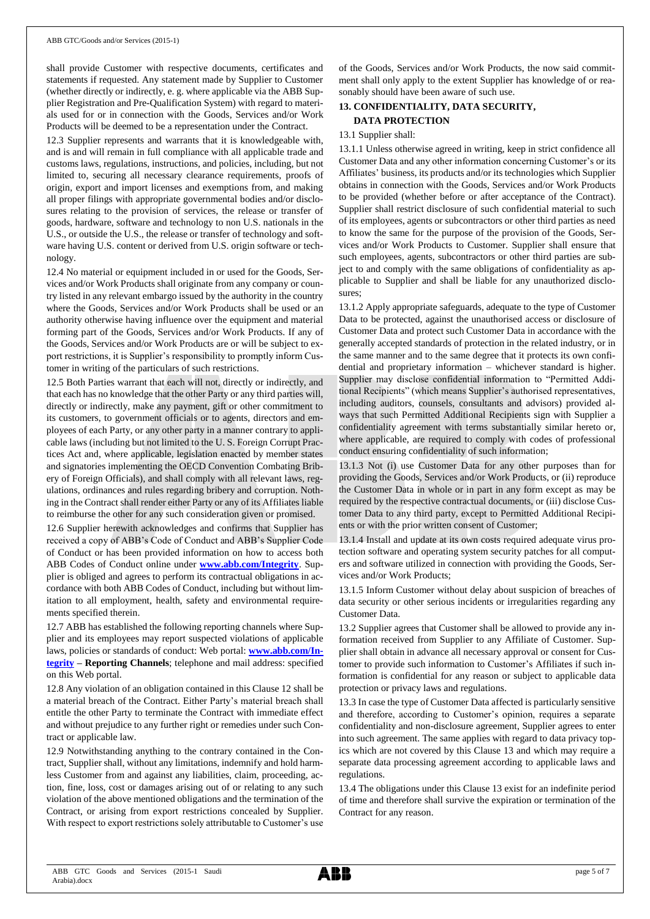shall provide Customer with respective documents, certificates and statements if requested. Any statement made by Supplier to Customer (whether directly or indirectly, e. g. where applicable via the ABB Supplier Registration and Pre-Qualification System) with regard to materials used for or in connection with the Goods, Services and/or Work Products will be deemed to be a representation under the Contract.

12.3 Supplier represents and warrants that it is knowledgeable with, and is and will remain in full compliance with all applicable trade and customs laws, regulations, instructions, and policies, including, but not limited to, securing all necessary clearance requirements, proofs of origin, export and import licenses and exemptions from, and making all proper filings with appropriate governmental bodies and/or disclosures relating to the provision of services, the release or transfer of goods, hardware, software and technology to non U.S. nationals in the U.S., or outside the U.S., the release or transfer of technology and software having U.S. content or derived from U.S. origin software or technology.

12.4 No material or equipment included in or used for the Goods, Services and/or Work Products shall originate from any company or country listed in any relevant embargo issued by the authority in the country where the Goods, Services and/or Work Products shall be used or an authority otherwise having influence over the equipment and material forming part of the Goods, Services and/or Work Products. If any of the Goods, Services and/or Work Products are or will be subject to export restrictions, it is Supplier's responsibility to promptly inform Customer in writing of the particulars of such restrictions.

12.5 Both Parties warrant that each will not, directly or indirectly, and that each has no knowledge that the other Party or any third parties will, directly or indirectly, make any payment, gift or other commitment to its customers, to government officials or to agents, directors and employees of each Party, or any other party in a manner contrary to applicable laws (including but not limited to the U. S. Foreign Corrupt Practices Act and, where applicable, legislation enacted by member states and signatories implementing the OECD Convention Combating Bribery of Foreign Officials), and shall comply with all relevant laws, regulations, ordinances and rules regarding bribery and corruption. Nothing in the Contract shall render either Party or any of its Affiliates liable to reimburse the other for any such consideration given or promised.

12.6 Supplier herewith acknowledges and confirms that Supplier has received a copy of ABB's Code of Conduct and ABB's Supplier Code of Conduct or has been provided information on how to access both ABB Codes of Conduct online under **[www.abb.com/Integrity](http://www.abb.com/Integrity)**. Supplier is obliged and agrees to perform its contractual obligations in accordance with both ABB Codes of Conduct, including but without limitation to all employment, health, safety and environmental requirements specified therein.

12.7 ABB has established the following reporting channels where Supplier and its employees may report suspected violations of applicable laws, policies or standards of conduct: Web portal: **[www.abb.com/In](http://www.abb.com/Integrity)[tegrity](http://www.abb.com/Integrity) – Reporting Channels**; telephone and mail address: specified on this Web portal.

12.8 Any violation of an obligation contained in this Clause 12 shall be a material breach of the Contract. Either Party's material breach shall entitle the other Party to terminate the Contract with immediate effect and without prejudice to any further right or remedies under such Contract or applicable law.

12.9 Notwithstanding anything to the contrary contained in the Contract, Supplier shall, without any limitations, indemnify and hold harmless Customer from and against any liabilities, claim, proceeding, action, fine, loss, cost or damages arising out of or relating to any such violation of the above mentioned obligations and the termination of the Contract, or arising from export restrictions concealed by Supplier. With respect to export restrictions solely attributable to Customer's use of the Goods, Services and/or Work Products, the now said commitment shall only apply to the extent Supplier has knowledge of or reasonably should have been aware of such use.

# **13. CONFIDENTIALITY, DATA SECURITY,**

# **DATA PROTECTION**

# 13.1 Supplier shall:

13.1.1 Unless otherwise agreed in writing, keep in strict confidence all Customer Data and any other information concerning Customer's or its Affiliates' business, its products and/or its technologies which Supplier obtains in connection with the Goods, Services and/or Work Products to be provided (whether before or after acceptance of the Contract). Supplier shall restrict disclosure of such confidential material to such of its employees, agents or subcontractors or other third parties as need to know the same for the purpose of the provision of the Goods, Services and/or Work Products to Customer. Supplier shall ensure that such employees, agents, subcontractors or other third parties are subject to and comply with the same obligations of confidentiality as applicable to Supplier and shall be liable for any unauthorized disclosures;

13.1.2 Apply appropriate safeguards, adequate to the type of Customer Data to be protected, against the unauthorised access or disclosure of Customer Data and protect such Customer Data in accordance with the generally accepted standards of protection in the related industry, or in the same manner and to the same degree that it protects its own confidential and proprietary information – whichever standard is higher. Supplier may disclose confidential information to "Permitted Additional Recipients" (which means Supplier's authorised representatives, including auditors, counsels, consultants and advisors) provided always that such Permitted Additional Recipients sign with Supplier a confidentiality agreement with terms substantially similar hereto or, where applicable, are required to comply with codes of professional conduct ensuring confidentiality of such information;

13.1.3 Not (i) use Customer Data for any other purposes than for providing the Goods, Services and/or Work Products, or (ii) reproduce the Customer Data in whole or in part in any form except as may be required by the respective contractual documents, or (iii) disclose Customer Data to any third party, except to Permitted Additional Recipients or with the prior written consent of Customer;

13.1.4 Install and update at its own costs required adequate virus protection software and operating system security patches for all computers and software utilized in connection with providing the Goods, Services and/or Work Products;

13.1.5 Inform Customer without delay about suspicion of breaches of data security or other serious incidents or irregularities regarding any Customer Data.

13.2 Supplier agrees that Customer shall be allowed to provide any information received from Supplier to any Affiliate of Customer. Supplier shall obtain in advance all necessary approval or consent for Customer to provide such information to Customer's Affiliates if such information is confidential for any reason or subject to applicable data protection or privacy laws and regulations.

13.3 In case the type of Customer Data affected is particularly sensitive and therefore, according to Customer's opinion, requires a separate confidentiality and non-disclosure agreement, Supplier agrees to enter into such agreement. The same applies with regard to data privacy topics which are not covered by this Clause 13 and which may require a separate data processing agreement according to applicable laws and regulations.

13.4 The obligations under this Clause 13 exist for an indefinite period of time and therefore shall survive the expiration or termination of the Contract for any reason.

ABB GTC Goods and Services (2015-1 Saudi Arabia).docx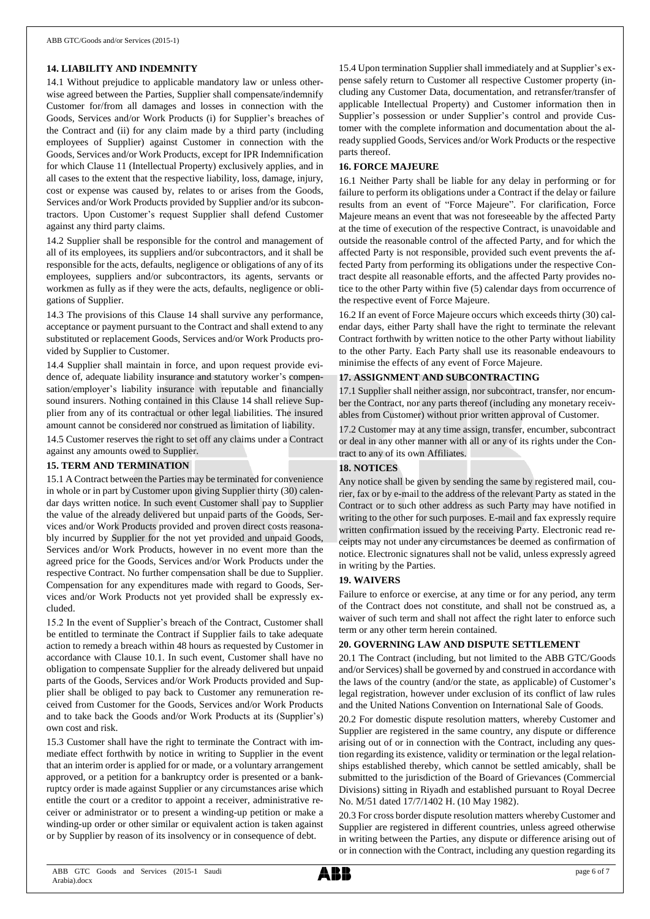# **14. LIABILITY AND INDEMNITY**

14.1 Without prejudice to applicable mandatory law or unless otherwise agreed between the Parties, Supplier shall compensate/indemnify Customer for/from all damages and losses in connection with the Goods, Services and/or Work Products (i) for Supplier's breaches of the Contract and (ii) for any claim made by a third party (including employees of Supplier) against Customer in connection with the Goods, Services and/or Work Products, except for IPR Indemnification for which Clause 11 (Intellectual Property) exclusively applies, and in all cases to the extent that the respective liability, loss, damage, injury, cost or expense was caused by, relates to or arises from the Goods, Services and/or Work Products provided by Supplier and/or its subcontractors. Upon Customer's request Supplier shall defend Customer against any third party claims.

14.2 Supplier shall be responsible for the control and management of all of its employees, its suppliers and/or subcontractors, and it shall be responsible for the acts, defaults, negligence or obligations of any of its employees, suppliers and/or subcontractors, its agents, servants or workmen as fully as if they were the acts, defaults, negligence or obligations of Supplier.

14.3 The provisions of this Clause 14 shall survive any performance, acceptance or payment pursuant to the Contract and shall extend to any substituted or replacement Goods, Services and/or Work Products provided by Supplier to Customer.

14.4 Supplier shall maintain in force, and upon request provide evidence of, adequate liability insurance and statutory worker's compensation/employer's liability insurance with reputable and financially sound insurers. Nothing contained in this Clause 14 shall relieve Supplier from any of its contractual or other legal liabilities. The insured amount cannot be considered nor construed as limitation of liability.

14.5 Customer reserves the right to set off any claims under a Contract against any amounts owed to Supplier.

### **15. TERM AND TERMINATION**

15.1 A Contract between the Parties may be terminated for convenience in whole or in part by Customer upon giving Supplier thirty (30) calendar days written notice. In such event Customer shall pay to Supplier the value of the already delivered but unpaid parts of the Goods, Services and/or Work Products provided and proven direct costs reasonably incurred by Supplier for the not yet provided and unpaid Goods, Services and/or Work Products, however in no event more than the agreed price for the Goods, Services and/or Work Products under the respective Contract. No further compensation shall be due to Supplier. Compensation for any expenditures made with regard to Goods, Services and/or Work Products not yet provided shall be expressly excluded.

15.2 In the event of Supplier's breach of the Contract, Customer shall be entitled to terminate the Contract if Supplier fails to take adequate action to remedy a breach within 48 hours as requested by Customer in accordance with Clause 10.1. In such event, Customer shall have no obligation to compensate Supplier for the already delivered but unpaid parts of the Goods, Services and/or Work Products provided and Supplier shall be obliged to pay back to Customer any remuneration received from Customer for the Goods, Services and/or Work Products and to take back the Goods and/or Work Products at its (Supplier's) own cost and risk.

15.3 Customer shall have the right to terminate the Contract with immediate effect forthwith by notice in writing to Supplier in the event that an interim order is applied for or made, or a voluntary arrangement approved, or a petition for a bankruptcy order is presented or a bankruptcy order is made against Supplier or any circumstances arise which entitle the court or a creditor to appoint a receiver, administrative receiver or administrator or to present a winding-up petition or make a winding-up order or other similar or equivalent action is taken against or by Supplier by reason of its insolvency or in consequence of debt.

15.4 Upon termination Supplier shall immediately and at Supplier's expense safely return to Customer all respective Customer property (including any Customer Data, documentation, and retransfer/transfer of applicable Intellectual Property) and Customer information then in Supplier's possession or under Supplier's control and provide Customer with the complete information and documentation about the already supplied Goods, Services and/or Work Products or the respective parts thereof.

# **16. FORCE MAJEURE**

16.1 Neither Party shall be liable for any delay in performing or for failure to perform its obligations under a Contract if the delay or failure results from an event of "Force Majeure". For clarification, Force Majeure means an event that was not foreseeable by the affected Party at the time of execution of the respective Contract, is unavoidable and outside the reasonable control of the affected Party, and for which the affected Party is not responsible, provided such event prevents the affected Party from performing its obligations under the respective Contract despite all reasonable efforts, and the affected Party provides notice to the other Party within five (5) calendar days from occurrence of the respective event of Force Majeure.

16.2 If an event of Force Majeure occurs which exceeds thirty (30) calendar days, either Party shall have the right to terminate the relevant Contract forthwith by written notice to the other Party without liability to the other Party. Each Party shall use its reasonable endeavours to minimise the effects of any event of Force Majeure.

# **17. ASSIGNMENT AND SUBCONTRACTING**

17.1 Supplier shall neither assign, nor subcontract, transfer, nor encumber the Contract, nor any parts thereof (including any monetary receivables from Customer) without prior written approval of Customer.

17.2 Customer may at any time assign, transfer, encumber, subcontract or deal in any other manner with all or any of its rights under the Contract to any of its own Affiliates.

# **18. NOTICES**

Any notice shall be given by sending the same by registered mail, courier, fax or by e-mail to the address of the relevant Party as stated in the Contract or to such other address as such Party may have notified in writing to the other for such purposes. E-mail and fax expressly require written confirmation issued by the receiving Party. Electronic read receipts may not under any circumstances be deemed as confirmation of notice. Electronic signatures shall not be valid, unless expressly agreed in writing by the Parties.

### **19. WAIVERS**

Failure to enforce or exercise, at any time or for any period, any term of the Contract does not constitute, and shall not be construed as, a waiver of such term and shall not affect the right later to enforce such term or any other term herein contained.

### **20. GOVERNING LAW AND DISPUTE SETTLEMENT**

20.1 The Contract (including, but not limited to the ABB GTC/Goods and/or Services) shall be governed by and construed in accordance with the laws of the country (and/or the state, as applicable) of Customer's legal registration, however under exclusion of its conflict of law rules and the United Nations Convention on International Sale of Goods.

20.2 For domestic dispute resolution matters, whereby Customer and Supplier are registered in the same country, any dispute or difference arising out of or in connection with the Contract, including any question regarding its existence, validity or termination or the legal relationships established thereby, which cannot be settled amicably, shall be submitted to the jurisdiction of the Board of Grievances (Commercial Divisions) sitting in Riyadh and established pursuant to Royal Decree No. M/51 dated 17/7/1402 H. (10 May 1982).

20.3 For cross border dispute resolution matters whereby Customer and Supplier are registered in different countries, unless agreed otherwise in writing between the Parties, any dispute or difference arising out of or in connection with the Contract, including any question regarding its